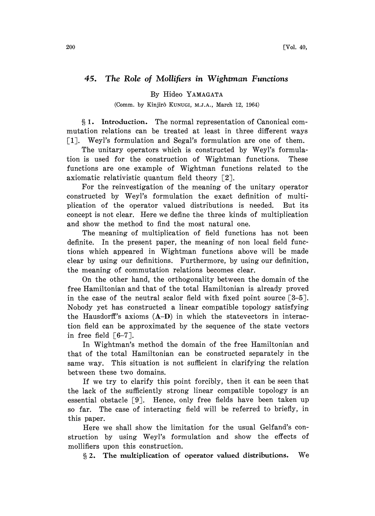## 45. The Role of Mollifiers in Wightman Functions

By Hideo YAMAGATA

(Comm. by Kinjirô KUNUGI, M.J.A., March 12, 1964)

1. Introduction. The normal representation of Canonical commutation relations can be treated at least in three different ways [1]. Weyl's formulation and Segal's formulation are one of them.

The unitary operators which is constructed by Weyl's formulation is used for the construction of Wightman functions. These functions are one example of Wightman functions related to the axiomatic relativistic quantum field theory  $\lceil 2 \rceil$ .

For the reinvestigation of the meaning of the unitary operator constructed by Weyl's formulation the exact definition of multiplication of the operator valued distributions is needed. But its concept is not clear. Here we define the three kinds of multiplication and show the method to find the most natural one.

The meaning of multiplication of field functions has not been definite. In the present paper, the meaning of non local field functions which appeared in Wightman functions above will be made clear by using our definitions. Furthermore, by using our definition, the meaning of commutation relations becomes clear.

On the other hand, the orthogonality between the domain of the free Hamiltonian and that of the total Hamiltonian is already proved in the case of the neutral scalor field with fixed point source  $\lceil 3-5 \rceil$ . Nobody yet has constructed a linear compatible topology satisfying the Hausdorff's axioms (A-D) in which the statevectors in interaction field can be approximated by the sequence of the state vectors in free field  $\lceil 6-7 \rceil$ .

In Wightman's method the domain of the free Hamiltonian and that of the total Hamiltonian can be constructed separately in the same way. This situation is not sufficient in clarifying the relation between these two domains.

If we try to clarify this point forcibly, then it can be seen that the lack of the sufficiently strong linear compatible topology is an essential obstacle  $\lceil 9 \rceil$ . Hence, only free fields have been taken up so far. The case of interacting field will be referred to briefly, in this paper.

Here we shall show the limitation for the usual Gelfand's construction by using Weyl's formulation and show the effects of mollifiers upon this construction.

2. The multiplication of operator valued distributions. We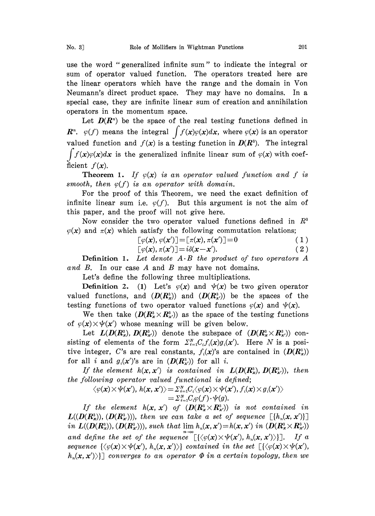use the word "generalized infinite sum" to indicate the integral or sum of operator valued function. The operators treated here are the linear operators which have the range and the domain in Von Neumann's direct product space. They may have no domains. In a special case, they are infinite linear sum of creation and annihilation operators in the momentum space.

Let  $D(R<sup>n</sup>)$  be the space of the real testing functions defined in  $\mathbf{R}^n$ .  $\varphi(f)$  means the integral  $\int f(x)\varphi(x)dx$ , where  $\varphi(x)$  is an operator valued function and  $f(x)$  is a testing function in  $D(R^3)$ . The integral  $\int f(x)\varphi(x)dx$  is the generalized infinite linear sum of  $\varphi(x)$  with coefficient  $f(x)$ .

**Theorem 1.** If  $\varphi(x)$  is an operator valued function and f is smooth, then  $\varphi(f)$  is an operator with domain.

For the proof of this Theorem, we need the exact definition of infinite linear sum i.e.  $\varphi(f)$ . But this argument is not the aim of this paper, and the proof will not give here.

Now consider the two operator valued functions defined in  $R<sup>3</sup>$  $\varphi(x)$  and  $\pi(x)$  which satisfy the following commutation relations;

$$
[\varphi(\mathbf{x}), \varphi(\mathbf{x}')] = [\pi(\mathbf{x}), \pi(\mathbf{x}')] = 0 \tag{1}
$$

$$
[\varphi(\mathbf{x}), \pi(\mathbf{x}')] = i\delta(\mathbf{x} - \mathbf{x}'). \tag{2}
$$

**Definition 1.** Let denote  $A \cdot B$  the product of two operators  $A$ and B. In our case A and B may have not domains.

Let's define the following three multiplications.

**Definition 2.** (1) Let's  $\varphi(x)$  and  $\psi(x)$  be two given operator valued functions, and  $(D(R_x^3))$  and  $(D(R_{x'}^3))$  be the spaces of the testing functions of two operator valued functions  $\varphi(x)$  and  $\psi(x)$ .

We then take  $(D(R_x^3 \times R_y^3))$  as the space of the testing functions of  $\varphi(x) \times \psi(x')$  whose meaning will be given below.

Let  $L(D(R_x^3), D(R_{x'}^3))$  denote the subspace of  $(D(R_x^3 \times R_{x'}^3))$  consisting of elements of the form  $\sum_{i=1}^N C_i f_i(x)g_i(x')$ . Here N is a positive integer, C's are real constants,  $f_i(\mathbf{x})$ 's are contained in  $(D(R_x^3))$ for all i and  $g_i(x')$ 's are in  $(D(R_{x'}^3))$  for all i.

If the element  $h(x, x')$  is contained in  $L(D(R_x), D(R_{x'}^3))$ , then the following operator valued functional is defined;

$$
\begin{array}{c} \langle \varphi(\pmb{x})\times \pmb{\psi}(\pmb{x}'),\, h(\pmb{x},\pmb{x}') \rangle\!=\! \varSigma_{i=1}^N\!C_i \langle \varphi(\pmb{x})\!\times\! \pmb{\psi}(\pmb{x}'), f_i(\pmb{x})\!\times\! g_i(\pmb{x}') \rangle \\ =\!\varSigma_{i=1}^N\!C_i\varphi(f)\!\cdot\! \pmb{\psi}(g).\end{array}
$$

If the element  $h(x, x')$  of  $(D(R^3_x \times R^3_{x'}))$  is not contained in  $L((D(R_x^s)), (D(R_x^s))),$  then we can take a set of sequence  $\left[ \{h_u(\mathbf{x}, \mathbf{x}')\} \right]$ in  $L((D(R_x^3)), (D(R_{x'}^3)))$ , such that  $\lim h_n(x, x') = h(x, x')$  in  $(D(R_x^3 \times R_{x'}^3))$ and define the set of the sequence  $[\{\langle \varphi(\mathbf{x}) \times \psi(\mathbf{x}'), h_n(\mathbf{x}, \mathbf{x}') \rangle\}].$  If a sequence  $\{\langle \varphi(\mathbf{x}) \times \psi(\mathbf{x}'), h_n(\mathbf{x}, \mathbf{x}') \rangle\}$  contained in the set  $[\{\langle \varphi(\mathbf{x}) \times \psi(\mathbf{x}'), h_n(\mathbf{x}, \mathbf{x}') \rangle\}$  $h_n(\mathbf{x},\mathbf{x}')$ ) converges to an operator  $\Phi$  in a certain topology, then we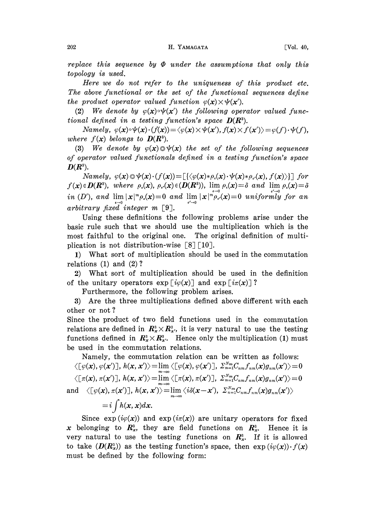replace this sequence by  $\Phi$  under the assumptions that only this topology is used.

Here we do not refer to the uniqueness of this product etc. The above functional or the set of the functional sequences define the product operator valued function  $\varphi(\mathbf{x}) \times \psi(\mathbf{x}')$ .

(2) We denote by  $\varphi(x) \circ \psi(x')$  the following operator valued functional defined in a testing function's space  $D(R<sup>3</sup>)$ .

Namely,  $\varphi(\mathbf{x}) \circ \psi(\mathbf{x}) \cdot (f(\mathbf{x})) = \langle \varphi(\mathbf{x}) \times \psi(\mathbf{x}'), f(\mathbf{x}) \times f(\mathbf{x}') \rangle = \varphi(f) \cdot \psi(f),$ where  $f(x)$  belongs to  $D(R^3)$ .

(3) We denote by  $\varphi(x)\odot\psi(x)$  the set of the following sequences of operator valued functionals defined in a testing function's space  $\mathbf{D}(\mathbf{R}^3)$ .

Namely,  $\varphi(x) \odot \psi(x) \cdot (f(x)) = [\{\langle \varphi(x) * \rho(x) \cdot \psi(x) * \rho_{s}(x), f(x) \rangle\}]$  for  $f(x) \in D(R^3)$ , where  $\rho_{\epsilon}(x)$ ,  $\rho_{\epsilon}(x) \in (D(R^3))$ ,  $\lim_{\epsilon \to 0} \rho_{\epsilon}(x) = \delta$  and  $\lim_{\epsilon' \to 0} \rho_{\epsilon}(x) = \delta$ <br>in (D'), and  $\lim_{\epsilon \to 0} |x|^m \rho_{\epsilon}(x) = 0$  and  $\lim_{\epsilon' \to 0} |x|^{m} \rho_{\epsilon'}(x) = 0$  uniformly for an<br>arbitrary fixed intege

Using these definitions the following problems arise under the basic rule such that we should use the multiplication which is the most faithful to the original one. The original definition of multiplication is not distribution-wise  $\lceil 8 \rceil \lceil 10 \rceil$ .

1) What sort of multiplication should be used in the commutation relations (1) and (2)?

2) What sort of multiplication should be used in the definition of the unitary operators  $\exp[i\varphi(x)]$  and  $\exp[i\pi(x)]$ ?

Furthermore, the following problem arises.

3) Are the three multiplications defined above different with each other or not ?

Since the product of two field functions used in the commutation relations are defined in  $\mathbb{R}^3$   $\times \mathbb{R}^3$ , it is very natural to use the testing functions defined in  $\mathbb{R}^3 \times \mathbb{R}^3$ . Hence only the multiplication (1) must be used in the commutation relations.

Namely, the commutation relation can be written as follows:  $\left\langle \left\lfloor \varphi(\pmb{x}), \varphi(\pmb{x}') \right\rfloor \right\rangle, \, h(\pmb{x}, \pmb{x}') \right\rangle = \lim \left\langle \left\lfloor \varphi(\pmb{x}), \varphi(\pmb{x}') \right\rfloor \right\rangle, \, \Sigma_{n=1}^{\gamma \cdot m} C_{nm} f_{nm}(\pmb{x}) g_{nm}(\pmb{x}')$  $\langle\mathbb{E}[\pi(\bm{x}),\pi(\bm{x}')\rrbracket,\,h(\bm{x},\bm{x}')\rangle\!=\!\lim_{m\rightarrow\infty}^{m\rightarrow\infty}\langle\mathbb{E}[\pi(\bm{x}),\pi(\bm{x}')\rrbracket,\,\,\Sigma_{n=1}^{N_m}C_{nm}f_{nm}(\bm{x})g_{nm}(\bm{x}')\rangle$ and  $\langle [\varphi(\mathbf{x}), \pi(\mathbf{x}')]$ ,  $h(\mathbf{x}, \mathbf{x}') \rangle = \lim_{m \to \infty} \langle i \delta(\mathbf{x}-\mathbf{x}')$ ,  $\sum_{n=1}^{N_m} C_{nm} f_{nm}(\mathbf{x}) g_{nm}(\mathbf{x}') \rangle$ 

 $=i\int h(x, x)dx$ .

Since  $\exp(i\varphi(x))$  and  $\exp(i\pi(x))$  are unitary operators for fixed x belonging to  $\mathbb{R}^3$ , they are field functions on  $\mathbb{R}^3$ . Hence it is very natural to use the testing functions on  $\mathbb{R}^3$ . If it is allowed to take  $(D(R_x^3))$  as the testing function's space, then  $exp(i\varphi(x)) \cdot f(x)$ must be defined by the following form: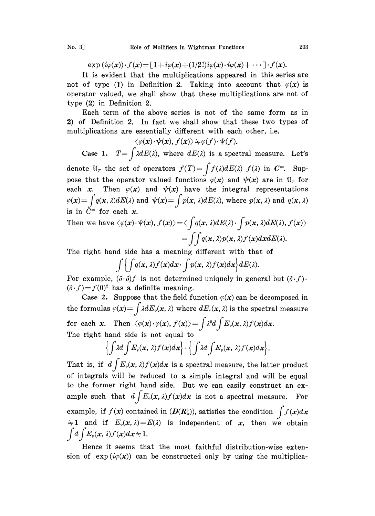$\exp(i\varphi(\mathbf{x})) \cdot f(\mathbf{x}) = \left[1+i\varphi(\mathbf{x})+(1/2!)i\varphi(\mathbf{x})\cdot i\varphi(\mathbf{x})+\cdots\right] \cdot f(\mathbf{x}).$ 

It is evident that the multiplications appeared in this series are not of type (1) in Definition 2. Taking into account that  $\varphi(x)$  is operator valued, we shall show that these multiplications are not of type (2) in Definition 2.

Each term of the above series is not of the same form as in 2) of Definition 2. In fact we shall show that these two types of multiplications are essentially different with each other, i.e.

$$
\langle \varphi(\pmb{x}) \!\cdot\! \psi(\pmb{x}), f(\pmb{x}) \rangle \! \Rightarrow \! \varphi(f) \!\cdot\! \psi(f).
$$

Case 1.  $T=\int \lambda dE(\lambda)$ , where  $dE(\lambda)$  is a spectral measure. Let's denote  $\mathfrak{A}_r$  the set of operators  $f(T)=\int f(\lambda)dE(\lambda)$  f( $\lambda$ ) in  $C^{\infty}$ . Suppose that the operator valued functions  $\varphi(x)$  and  $\psi(x)$  are in  $\mathfrak{A}_T$  for each x. Then  $\varphi(x)$  and  $\psi(x)$  have the integral representations  $\varphi(\mathbf{x}) = \int q(\mathbf{x}, \lambda) dE(\lambda)$  and  $\psi(\mathbf{x}) = \int p(\mathbf{x}, \lambda) dE(\lambda)$ , where  $p(\mathbf{x}, \lambda)$  and  $q(\mathbf{x}, \lambda)$ is in  $C^{\infty}$  for each x.

Then we have 
$$
\langle \varphi(\mathbf{x}) \cdot \psi(\mathbf{x}), f(\mathbf{x}) \rangle = \langle \int q(\mathbf{x}, \lambda) dE(\lambda) \cdot \int p(\mathbf{x}, \lambda) dE(\lambda), f(\mathbf{x}) \rangle
$$
  
=  $\int \int q(\mathbf{x}, \lambda) p(\mathbf{x}, \lambda) f(\mathbf{x}) d\mathbf{x} dE(\lambda)$ .

The right hand side has a meaning different with that of

 $\int \int \int q(x,\lambda)f(x)dx \cdot \int p(x,\lambda)f(x)dx dE(\lambda).$ 

For example,  $(\delta \cdot \delta) f$  is not determined uniquely in general but  $(\delta \cdot f)$ .  $(\delta f) = f(0)^2$  has a definite meaning.

Case 2. Suppose that the field function  $\varphi(x)$  can be decomposed in the formulas  $\varphi(x)=\int \lambda dE_{\varphi}(x,\lambda)$  where  $dE_{\varphi}(x,\lambda)$  is the spectral measure for each x. Then  $\langle \varphi(x) \cdot \varphi(x), f(x) \rangle = \int \lambda^2 d \int E_{\varphi}(x, \lambda) f(x) dx$ . The right hand side is not equal to

$$
\left\{\int \lambda d\int E_{\varphi}(\mathbf{x},\,\lambda)f(\mathbf{x})d\mathbf{x}\right\}\cdot\left\{\int \lambda d\int E_{\varphi}(\mathbf{x},\,\lambda)f(\mathbf{x})d\mathbf{x}\right\}.
$$

That is, if  $d\int E_{\varphi}(x, \lambda)f(x)dx$  is a spectral measure, the latter product of integrals will be reduced to a simple integral and will be equal to the former right hand side. But we can easily construct an example such that  $d\int E_{\varphi}(x,\lambda)f(x)dx$  is not a spectral measure. For example, if  $f(x)$  contained in  $(D(R_x^3))$ , satisfies the condition  $\int f(x)dx$  $\pm 1$  and if  $E_{\varphi}(x, \lambda) = E(\lambda)$  is independent of x, then we obtain  $\int d\int E_{\varphi}(\mathbf{x}, \lambda) f(\mathbf{x}) d\mathbf{x} + 1.$ 

Hence it seems that the most faithful distribution-wise extension of  $exp(i\varphi(x))$  can be constructed only by using the multiplica-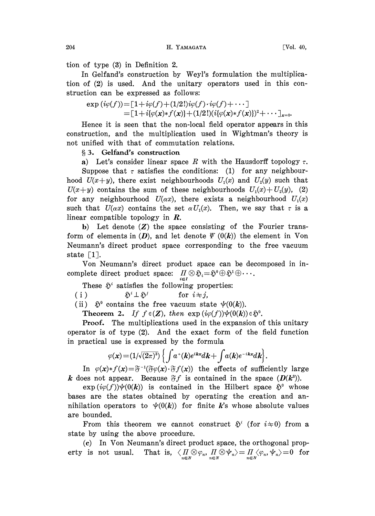204 H. YAMAGATA [Vol. 40,

tion of type (3) in Definition 2.

In Gelfand's construction by Weyl's formulation the multiplication of (2) is used. And the unitary operators used in this construction can be expressed as follows:

$$
\exp(i\varphi(f)) = [1 + i\varphi(f) + (1/2!)i\varphi(f) \cdot i\varphi(f) + \cdots] \n= [1 + i\{\varphi(x) * f(x)\} + (1/2!) (i\{\varphi(x) * f(x)\})^2 + \cdots]_{x=0}.
$$

Hence it is seen that the non-local field operator appears in this construction, and the multiplication used in Wightman's theory is not unified with that of commutation relations.

## 3. Gelfand's construction

a) Let's consider linear space R with the Hausdorff topology  $\tau$ . Suppose that  $\tau$  satisfies the conditions: (1) for any neighbourhood  $U(x+y)$ , there exist neighbourhoods  $U_1(x)$  and  $U_2(y)$  such that  $U(x+y)$  contains the sum of these neighbourhoods  $U_1(x)+U_2(y)$ , (2) for any neighbourhood  $U(\alpha x)$ , there exists a neighbourhood  $U_1(x)$ such that  $U(\alpha x)$  contains the set  $\alpha U_1(x)$ . Then, we say that  $\tau$  is a linear compatible topology in R.

b) Let denote  $(Z)$  the space consisting of the Fourier transform of elements in  $(D)$ , and let denote  $\Psi(0(k))$  the element in Von Neumann's direct product space corresponding to the free vacuum state  $\lceil 1 \rceil$ .

Von Neumann's direct product space can be decomposed in incomplete direct product space:  $\prod_{i\in I}\otimes \mathfrak{H}_i=\mathfrak{H}^0\oplus \mathfrak{H}^1\oplus \cdots$ .

These  $\mathfrak{H}^i$  satisfies the following properties:

(i)  $\tilde{\mathfrak{D}}^i \perp \tilde{\mathfrak{D}}^j$  for  $i \neq j$ ,

(ii)  $\tilde{\mathfrak{D}}^0$  contains the free vacuum state  $\psi(0(k))$ .

**Theorem 2.** If  $f \in (\mathbf{Z})$ , then  $\exp(i\varphi(f))\psi(0(\mathbf{k})) \in \mathfrak{H}^0$ .

Proof. The multiplications used in the expansion of this unitary operator is of type (2). And the exact form of the field function in practical use is expressed by the formula

$$
\varphi(\mathbf{x}) = (1/\sqrt{(2\pi)^3}) \left\{ \int a^+(\mathbf{k}) e^{i\mathbf{k}\mathbf{x}} d\mathbf{k} + \int a(\mathbf{k}) e^{-i\mathbf{k}\mathbf{x}} d\mathbf{k} \right\}.
$$

In  $\varphi(x) * f(x) = \tilde{\sigma}^{-1}(\tilde{\sigma}\varphi(x) \cdot \tilde{\sigma}f(x))$  the effects of sufficiently large k does not appear. Because  $\mathfrak{F} f$  is contained in the space  $(D(k^3))$ .

 $\exp(i\varphi(f))\psi(0(k))$  is contained in the Hilbert space  $\tilde{\mathfrak{D}}^0$  whose bases are the states obtained by operating the creation and annihilation operators to  $\psi(0(k))$  for finite k's whose absolute values are bounded.

From this theorem we cannot construct  $\tilde{\mathfrak{D}}^i$  (for  $i\neq 0$ ) from a state by using the above procedure.

(c) In Von Neumann's direct product space, the orthogonal property is not usual. That is,  $\langle H \otimes \varphi_n, H \otimes \psi_n \rangle = \prod_{n \in N} \langle \varphi_n, \psi_n \rangle = 0$  for